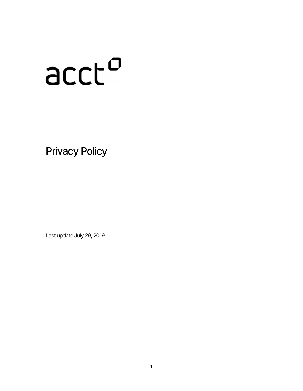# ncch

Privacy Policy

Last update July 29, 2019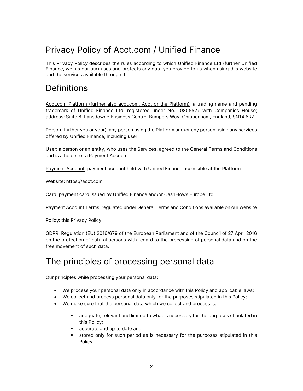# Privacy Policy of Acct.com / Unified Finance

This Privacy Policy describes the rules according to which Unified Finance Ltd (further Unified Finance, we, us our our) uses and protects any data you provide to us when using this website and the services available through it.

## **Definitions**

Acct.com Platform (further also acct.com, Acct or the Platform): a trading name and pending trademark of Unified Finance Ltd, registered under No. 10805527 with Companies House; address: Suite 6, Lansdowne Business Centre, Bumpers Way, Chippenham, England, SN14 6RZ

Person (further you or your): any person using the Platform and/or any person using any services offered by Unified Finance, including user

User: a person or an entity, who uses the Services, agreed to the General Terms and Conditions and is a holder of a Payment Account

Payment Account: payment account held with Unified Finance accessible at the Platform

Website: https://acct.com

Card: payment card issued by Unified Finance and/or CashFlows Europe Ltd.

Payment Account Terms: regulated under General Terms and Conditions available on our website

Policy: this Privacy Policy

GDPR: Regulation (EU) 2016/679 of the European Parliament and of the Council of 27 April 2016 on the protection of natural persons with regard to the processing of personal data and on the free movement of such data.

## The principles of processing personal data

Our principles while processing your personal data:

- We process your personal data only in accordance with this Policy and applicable laws;
- We collect and process personal data only for the purposes stipulated in this Policy;
- We make sure that the personal data which we collect and process is:
	- adequate, relevant and limited to what is necessary for the purposes stipulated in this Policy;
	- accurate and up to date and
	- stored only for such period as is necessary for the purposes stipulated in this Policy.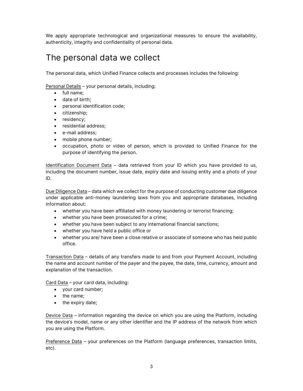We apply appropriate technological and organizational measures to ensure the availability, authenticity, integrity and confidentiality of personal data.

## The personal data we collect

The personal data, which Unified Finance collects and processes includes the following:

Personal Details – your personal details, including:

- full name;
- date of birth:
- personal identification code;
- citizenship;
- residency;
- residential address;
- e-mail address;
- mobile phone number:
- occupation, photo or video of person, which is provided to Unified Finance for the purpose of identifying the person.

Identification Document Data – data retrieved from your ID which you have provided to us, including the document number, issue date, expiry date and issuing entity and a photo of your ID.

Due Diligence Data – data which we collect for the purpose of conducting customer due diligence under applicable anti-money laundering laws from you and appropriate databases, including information about:

- whether you have been affiliated with money laundering or terrorist financing;
- whether you have been prosecuted for a crime;
- whether you have been subject to any international financial sanctions;
- whether you have held a public office or
- whether you are/ have been a close relative or associate of someone who has held public office.

Transaction Data – details of any transfers made to and from your Payment Account, including the name and account number of the payer and the payee, the date, time, currency, amount and explanation of the transaction.

Card Data – your card data, including:

- your card number;
- the name;
- the expiry date;

Device Data – information regarding the device on which you are using the Platform, including the device's model, name or any other identifier and the IP address of the network from which you are using the Platform.

Preference Data – your preferences on the Platform (language preferences, transaction limits, etc).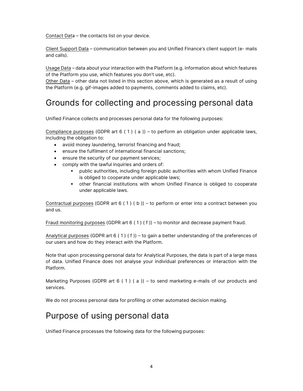Contact Data – the contacts list on your device.

Client Support Data – communication between you and Unified Finance's client support (e- mails and calls).

Usage Data – data about your interaction with the Platform (e.g. information about which features of the Platform you use, which features you don't use, etc).

Other Data – other data not listed in this section above, which is generated as a result of using the Platform (e.g. gif-images added to payments, comments added to claims, etc).

## Grounds for collecting and processing personal data

Unified Finance collects and processes personal data for the following purposes:

Compliance purposes (GDPR art  $6(1)(a)$ ) – to perform an obligation under applicable laws, including the obligation to:

- avoid money laundering, terrorist financing and fraud;
- ensure the fulfilment of international financial sanctions;
- ensure the security of our payment services;
- comply with the lawful inquiries and orders of:
	- public authorities, including foreign public authorities with whom Unified Finance is obliged to cooperate under applicable laws;
	- other financial institutions with whom Unified Finance is obliged to cooperate under applicable laws.

Contractual purposes (GDPR art  $6(1)(b)$ ) – to perform or enter into a contract between you and us.

Fraud monitoring purposes (GDPR art 6 ( 1 ) ( f )) – to monitor and decrease payment fraud.

Analytical purposes (GDPR art  $6(1)(f)$ ) – to gain a better understanding of the preferences of our users and how do they interact with the Platform.

Note that upon processing personal data for Analytical Purposes, the data is part of a large mass of data. Unified Finance does not analyse your individual preferences or interaction with the Platform.

Marketing Purposes (GDPR art 6 (1) (a)) – to send marketing e-mails of our products and services.

We do not process personal data for profiling or other automated decision making.

#### Purpose of using personal data

Unified Finance processes the following data for the following purposes: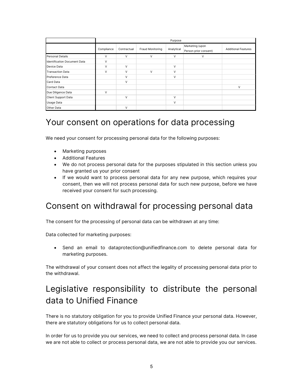|                              | Purpose    |             |                  |            |                                          |                            |
|------------------------------|------------|-------------|------------------|------------|------------------------------------------|----------------------------|
|                              | Compliance | Contractual | Fraud Monitoring | Analytical | Marketing (upon<br>Person prior consent) | <b>Additional Features</b> |
| Personal Details             | v          | V           | V                | V          | V                                        |                            |
| Identification Document Data | V          |             |                  |            |                                          |                            |
| Device Data                  | V          | $\vee$      |                  | $\vee$     |                                          |                            |
| <b>Transaction Data</b>      | V          | $\vee$      | $\vee$           | V          |                                          |                            |
| Preference Data              |            | $\vee$      |                  | $\vee$     |                                          |                            |
| Card Data                    |            | V           |                  |            |                                          |                            |
| Contact Data                 |            |             |                  |            |                                          | $\vee$                     |
| Due Diligence Data           | V          |             |                  |            |                                          |                            |
| Client Support Data          |            | $\vee$      |                  | V          |                                          |                            |
| Usage Data                   |            |             |                  | V          |                                          |                            |
| Other Data                   |            | V           |                  |            |                                          |                            |

#### Your consent on operations for data processing

We need your consent for processing personal data for the following purposes:

- Marketing purposes
- Additional Features
- We do not process personal data for the purposes stipulated in this section unless you have granted us your prior consent
- If we would want to process personal data for any new purpose, which requires your consent, then we will not process personal data for such new purpose, before we have received your consent for such processing.

#### Consent on withdrawal for processing personal data

The consent for the processing of personal data can be withdrawn at any time:

Data collected for marketing purposes:

 Send an email to dataprotection@unifiedfinance.com to delete personal data for marketing purposes.

The withdrawal of your consent does not affect the legality of processing personal data prior to the withdrawal.

# Legislative responsibility to distribute the personal data to Unified Finance

There is no statutory obligation for you to provide Unified Finance your personal data. However, there are statutory obligations for us to collect personal data.

In order for us to provide you our services, we need to collect and process personal data. In case we are not able to collect or process personal data, we are not able to provide you our services.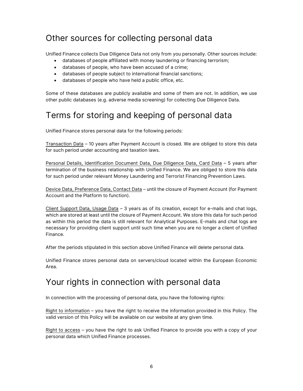## Other sources for collecting personal data

Unified Finance collects Due Diligence Data not only from you personally. Other sources include:

- databases of people affiliated with money laundering or financing terrorism;
- databases of people, who have been accused of a crime;
- databases of people subject to international financial sanctions;
- databases of people who have held a public office, etc.

Some of these databases are publicly available and some of them are not. In addition, we use other public databases (e.g. adverse media screening) for collecting Due Diligence Data.

# Terms for storing and keeping of personal data

Unified Finance stores personal data for the following periods:

Transaction Data – 10 years after Payment Account is closed. We are obliged to store this data for such period under accounting and taxation laws.

Personal Details, Identification Document Data, Due Diligence Data, Card Data – 5 years after termination of the business relationship with Unified Finance. We are obliged to store this data for such period under relevant Money Laundering and Terrorist Financing Prevention Laws.

Device Data, Preference Data, Contact Data – until the closure of Payment Account (for Payment Account and the Platform to function).

Client Support Data, Usage Data – 3 years as of its creation, except for e-mails and chat logs, which are stored at least until the closure of Payment Account. We store this data for such period as within this period the data is still relevant for Analytical Purposes. E-mails and chat logs are necessary for providing client support until such time when you are no longer a client of Unified Finance.

After the periods stipulated in this section above Unified Finance will delete personal data.

Unified Finance stores personal data on servers/cloud located within the European Economic Area.

# Your rights in connection with personal data

In connection with the processing of personal data, you have the following rights:

Right to information – you have the right to receive the information provided in this Policy. The valid version of this Policy will be available on our website at any given time.

Right to access – you have the right to ask Unified Finance to provide you with a copy of your personal data which Unified Finance processes.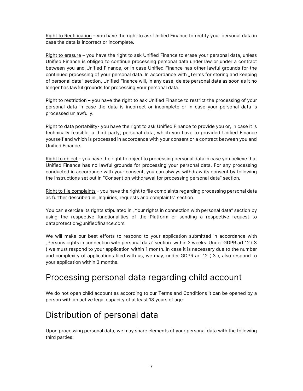Right to Rectification – you have the right to ask Unified Finance to rectify your personal data in case the data is incorrect or incomplete.

Right to erasure – you have the right to ask Unified Finance to erase your personal data, unless Unified Finance is obliged to continue processing personal data under law or under a contract between you and Unified Finance, or in case Unified Finance has other lawful grounds for the continued processing of your personal data. In accordance with "Terms for storing and keeping" of personal data" section, Unified Finance will, in any case, delete personal data as soon as it no longer has lawful grounds for processing your personal data.

Right to restriction – you have the right to ask Unified Finance to restrict the processing of your personal data in case the data is incorrect or incomplete or in case your personal data is processed unlawfully.

Right to data portability- you have the right to ask Unified Finance to provide you or, in case it is technically feasible, a third party, personal data, which you have to provided Unified Finance yourself and which is processed in accordance with your consent or a contract between you and Unified Finance.

Right to object – you have the right to object to processing personal data in case you believe that Unified Finance has no lawful grounds for processing your personal data. For any processing conducted in accordance with your consent, you can always withdraw its consent by following the instructions set out in "Consent on withdrawal for processing personal data" section.

Right to file complaints – you have the right to file complaints regarding processing personal data as further described in "Inquiries, requests and complaints" section.

You can exercise its rights stipulated in "Your rights in connection with personal data" section by using the respective functionalities of the Platform or sending a respective request to dataprotection@unifiedfinance.com.

We will make our best efforts to respond to your application submitted in accordance with "Persons rights in connection with personal data" section within 2 weeks. Under GDPR art 12 ( 3 ) we must respond to your application within 1 month. In case it is necessary due to the number and complexity of applications filed with us, we may, under GDPR art 12 ( 3 ), also respond to your application within 3 months.

#### Processing personal data regarding child account

We do not open child account as according to our Terms and Conditions it can be opened by a person with an active legal capacity of at least 18 years of age.

# Distribution of personal data

Upon processing personal data, we may share elements of your personal data with the following third parties: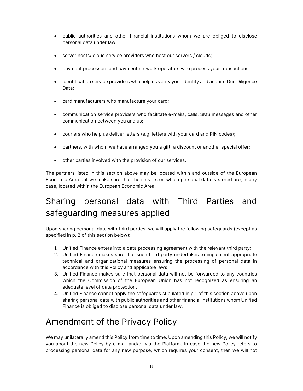- public authorities and other financial institutions whom we are obliged to disclose personal data under law;
- server hosts/ cloud service providers who host our servers / clouds;
- payment processors and payment network operators who process your transactions;
- identification service providers who help us verify your identity and acquire Due Diligence Data;
- card manufacturers who manufacture your card;
- communication service providers who facilitate e-mails, calls, SMS messages and other communication between you and us;
- couriers who help us deliver letters (e.g. letters with your card and PIN codes);
- partners, with whom we have arranged you a gift, a discount or another special offer;
- other parties involved with the provision of our services.

The partners listed in this section above may be located within and outside of the European Economic Area but we make sure that the servers on which personal data is stored are, in any case, located within the European Economic Area.

# Sharing personal data with Third Parties and safeguarding measures applied

Upon sharing personal data with third parties, we will apply the following safeguards (except as specified in p. 2 of this section below):

- 1. Unified Finance enters into a data processing agreement with the relevant third party;
- 2. Unified Finance makes sure that such third party undertakes to implement appropriate technical and organizational measures ensuring the processing of personal data in accordance with this Policy and applicable laws;
- 3. Unified Finance makes sure that personal data will not be forwarded to any countries which the Commission of the European Union has not recognized as ensuring an adequate level of data protection.
- 4. Unified Finance cannot apply the safeguards stipulated in p.1 of this section above upon sharing personal data with public authorities and other financial institutions whom Unified Finance is obliged to disclose personal data under law.

# Amendment of the Privacy Policy

We may unilaterally amend this Policy from time to time. Upon amending this Policy, we will notify you about the new Policy by e-mail and/or via the Platform. In case the new Policy refers to processing personal data for any new purpose, which requires your consent, then we will not